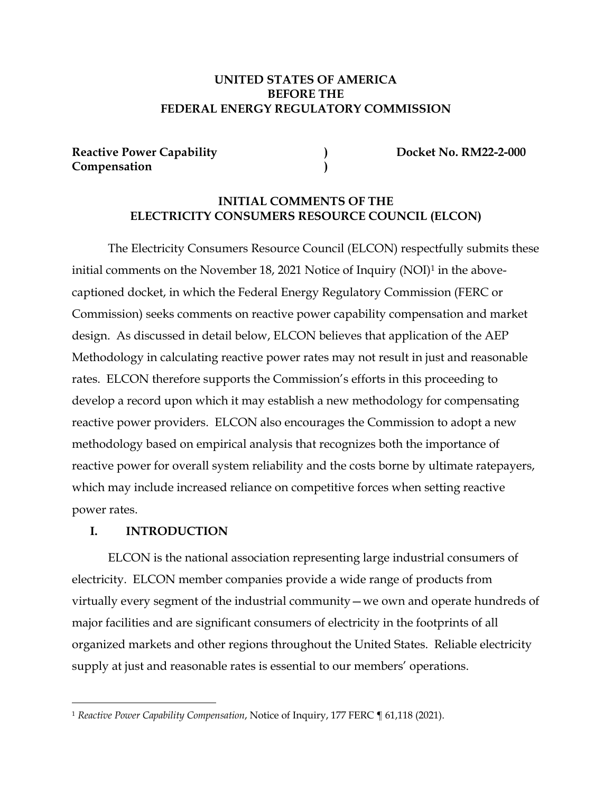## **UNITED STATES OF AMERICA BEFORE THE FEDERAL ENERGY REGULATORY COMMISSION**

Reactive Power Capability **(2008)** (2008) **Docket No. RM22-2-000 Compensation )**

## **INITIAL COMMENTS OF THE ELECTRICITY CONSUMERS RESOURCE COUNCIL (ELCON)**

The Electricity Consumers Resource Council (ELCON) respectfully submits these initial comments on the November 18, 2021 Notice of Inquiry (NOI)<sup>1</sup> in the abovecaptioned docket, in which the Federal Energy Regulatory Commission (FERC or Commission) seeks comments on reactive power capability compensation and market design. As discussed in detail below, ELCON believes that application of the AEP Methodology in calculating reactive power rates may not result in just and reasonable rates. ELCON therefore supports the Commission's efforts in this proceeding to develop a record upon which it may establish a new methodology for compensating reactive power providers. ELCON also encourages the Commission to adopt a new methodology based on empirical analysis that recognizes both the importance of reactive power for overall system reliability and the costs borne by ultimate ratepayers, which may include increased reliance on competitive forces when setting reactive power rates.

## **I. INTRODUCTION**

ELCON is the national association representing large industrial consumers of electricity. ELCON member companies provide a wide range of products from virtually every segment of the industrial community—we own and operate hundreds of major facilities and are significant consumers of electricity in the footprints of all organized markets and other regions throughout the United States. Reliable electricity supply at just and reasonable rates is essential to our members' operations.

<sup>1</sup> *Reactive Power Capability Compensation*, Notice of Inquiry, 177 FERC ¶ 61,118 (2021).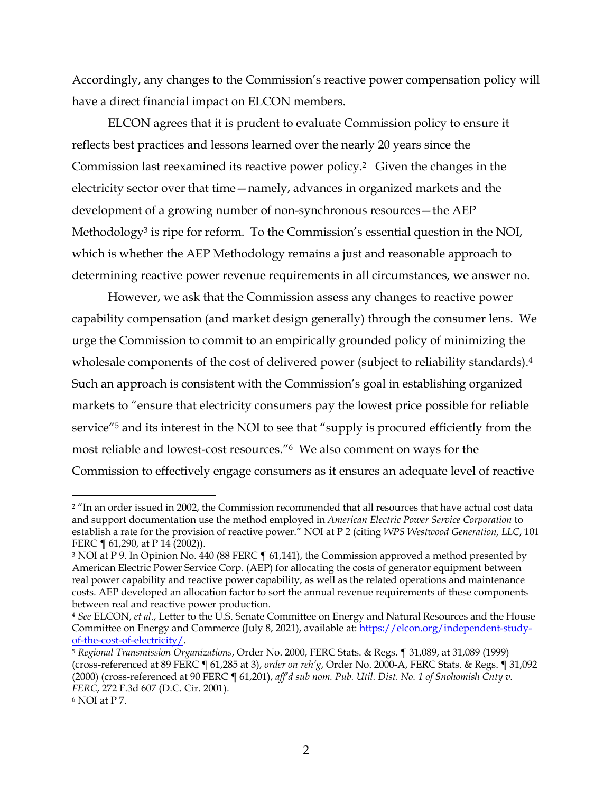Accordingly, any changes to the Commission's reactive power compensation policy will have a direct financial impact on ELCON members.

ELCON agrees that it is prudent to evaluate Commission policy to ensure it reflects best practices and lessons learned over the nearly 20 years since the Commission last reexamined its reactive power policy. 2 Given the changes in the electricity sector over that time—namely, advances in organized markets and the development of a growing number of non-synchronous resources—the AEP Methodology<sup>3</sup> is ripe for reform. To the Commission's essential question in the NOI, which is whether the AEP Methodology remains a just and reasonable approach to determining reactive power revenue requirements in all circumstances, we answer no.

However, we ask that the Commission assess any changes to reactive power capability compensation (and market design generally) through the consumer lens. We urge the Commission to commit to an empirically grounded policy of minimizing the wholesale components of the cost of delivered power (subject to reliability standards). 4 Such an approach is consistent with the Commission's goal in establishing organized markets to "ensure that electricity consumers pay the lowest price possible for reliable service"5 and its interest in the NOI to see that "supply is procured efficiently from the most reliable and lowest-cost resources."6 We also comment on ways for the Commission to effectively engage consumers as it ensures an adequate level of reactive

<sup>2</sup> "In an order issued in 2002, the Commission recommended that all resources that have actual cost data and support documentation use the method employed in *American Electric Power Service Corporation* to establish a rate for the provision of reactive power." NOI at P 2 (citing *WPS Westwood Generation, LLC*, 101 FERC ¶ 61,290, at P 14 (2002)).

<sup>&</sup>lt;sup>3</sup> NOI at P 9. In Opinion No. 440 (88 FERC ¶ 61,141), the Commission approved a method presented by American Electric Power Service Corp. (AEP) for allocating the costs of generator equipment between real power capability and reactive power capability, as well as the related operations and maintenance costs. AEP developed an allocation factor to sort the annual revenue requirements of these components between real and reactive power production.

<sup>4</sup> *See* ELCON, *et al.*, Letter to the U.S. Senate Committee on Energy and Natural Resources and the House Committee on Energy and Commerce (July 8, 2021), available at: https://elcon.org/independent-studyof-the-cost-of-electricity/.

<sup>5</sup> *Regional Transmission Organizations*, Order No. 2000, FERC Stats. & Regs. ¶ 31,089, at 31,089 (1999) (cross-referenced at 89 FERC ¶ 61,285 at 3), *order on reh'g*, Order No. 2000-A, FERC Stats. & Regs. ¶ 31,092 (2000) (cross-referenced at 90 FERC ¶ 61,201), *aff'd sub nom. Pub. Util. Dist. No. 1 of Snohomish Cnty v. FERC*, 272 F.3d 607 (D.C. Cir. 2001).

<sup>6</sup> NOI at P 7.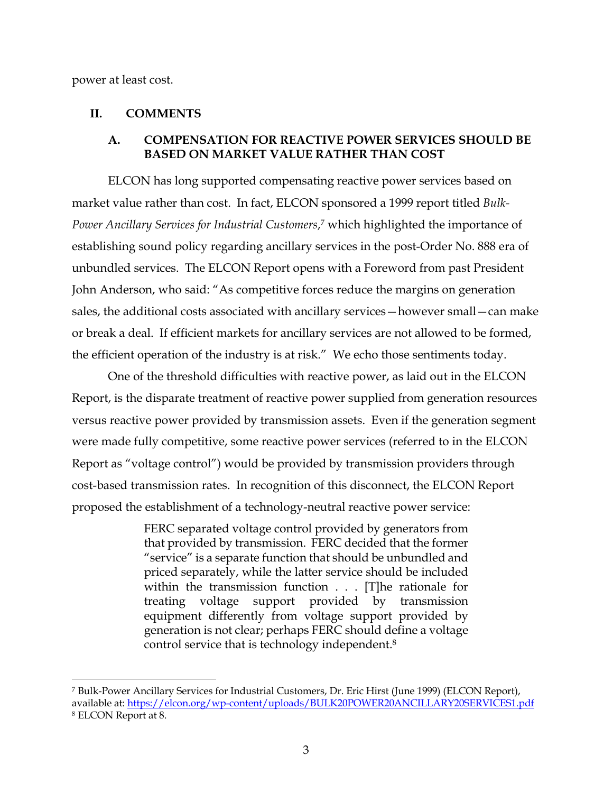power at least cost.

## **II. COMMENTS**

### **A. COMPENSATION FOR REACTIVE POWER SERVICES SHOULD BE BASED ON MARKET VALUE RATHER THAN COST**

ELCON has long supported compensating reactive power services based on market value rather than cost. In fact, ELCON sponsored a 1999 report titled *Bulk-Power Ancillary Services for Industrial Customers*, <sup>7</sup> which highlighted the importance of establishing sound policy regarding ancillary services in the post-Order No. 888 era of unbundled services. The ELCON Report opens with a Foreword from past President John Anderson, who said: "As competitive forces reduce the margins on generation sales, the additional costs associated with ancillary services—however small—can make or break a deal. If efficient markets for ancillary services are not allowed to be formed, the efficient operation of the industry is at risk." We echo those sentiments today.

One of the threshold difficulties with reactive power, as laid out in the ELCON Report, is the disparate treatment of reactive power supplied from generation resources versus reactive power provided by transmission assets. Even if the generation segment were made fully competitive, some reactive power services (referred to in the ELCON Report as "voltage control") would be provided by transmission providers through cost-based transmission rates. In recognition of this disconnect, the ELCON Report proposed the establishment of a technology-neutral reactive power service:

> FERC separated voltage control provided by generators from that provided by transmission. FERC decided that the former "service" is a separate function that should be unbundled and priced separately, while the latter service should be included within the transmission function . . . [T]he rationale for treating voltage support provided by transmission equipment differently from voltage support provided by generation is not clear; perhaps FERC should define a voltage control service that is technology independent.8

<sup>7</sup> Bulk-Power Ancillary Services for Industrial Customers, Dr. Eric Hirst (June 1999) (ELCON Report), available at: https://elcon.org/wp-content/uploads/BULK20POWER20ANCILLARY20SERVICES1.pdf <sup>8</sup> ELCON Report at 8.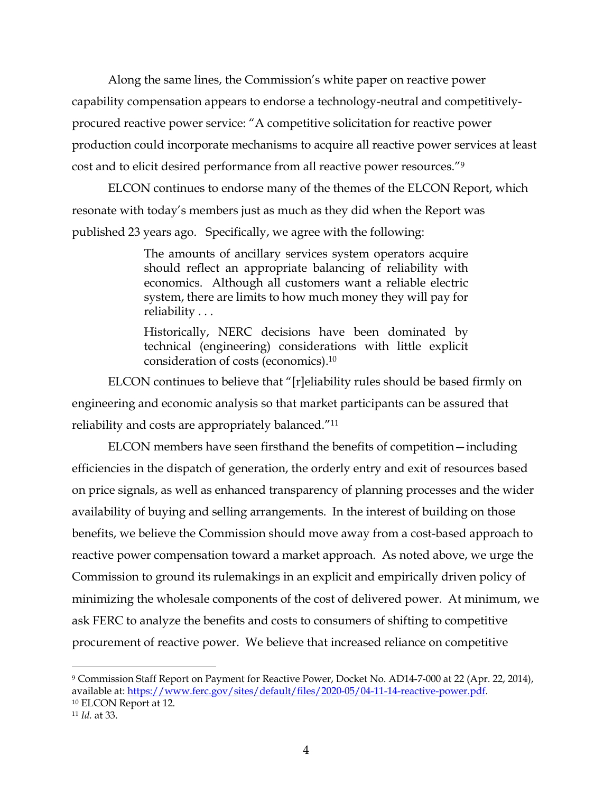Along the same lines, the Commission's white paper on reactive power capability compensation appears to endorse a technology-neutral and competitivelyprocured reactive power service: "A competitive solicitation for reactive power production could incorporate mechanisms to acquire all reactive power services at least cost and to elicit desired performance from all reactive power resources."9

ELCON continues to endorse many of the themes of the ELCON Report, which resonate with today's members just as much as they did when the Report was published 23 years ago. Specifically, we agree with the following:

> The amounts of ancillary services system operators acquire should reflect an appropriate balancing of reliability with economics. Although all customers want a reliable electric system, there are limits to how much money they will pay for reliability . . .

> Historically, NERC decisions have been dominated by technical (engineering) considerations with little explicit consideration of costs (economics).10

ELCON continues to believe that "[r]eliability rules should be based firmly on engineering and economic analysis so that market participants can be assured that reliability and costs are appropriately balanced."11

ELCON members have seen firsthand the benefits of competition—including efficiencies in the dispatch of generation, the orderly entry and exit of resources based on price signals, as well as enhanced transparency of planning processes and the wider availability of buying and selling arrangements. In the interest of building on those benefits, we believe the Commission should move away from a cost-based approach to reactive power compensation toward a market approach. As noted above, we urge the Commission to ground its rulemakings in an explicit and empirically driven policy of minimizing the wholesale components of the cost of delivered power. At minimum, we ask FERC to analyze the benefits and costs to consumers of shifting to competitive procurement of reactive power. We believe that increased reliance on competitive

<sup>9</sup> Commission Staff Report on Payment for Reactive Power, Docket No. AD14-7-000 at 22 (Apr. 22, 2014), available at: https://www.ferc.gov/sites/default/files/2020-05/04-11-14-reactive-power.pdf. 10 ELCON Report at 12.

<sup>11</sup> *Id.* at 33.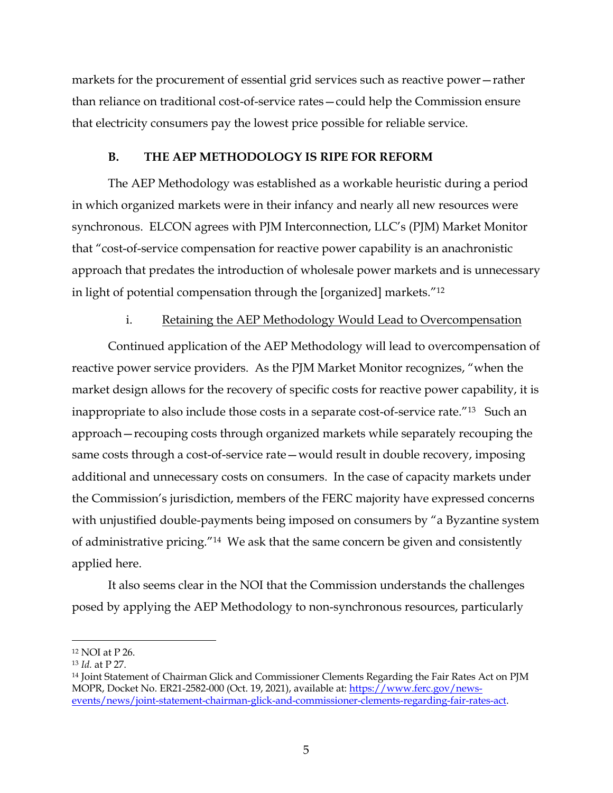markets for the procurement of essential grid services such as reactive power—rather than reliance on traditional cost-of-service rates—could help the Commission ensure that electricity consumers pay the lowest price possible for reliable service.

### **B. THE AEP METHODOLOGY IS RIPE FOR REFORM**

The AEP Methodology was established as a workable heuristic during a period in which organized markets were in their infancy and nearly all new resources were synchronous. ELCON agrees with PJM Interconnection, LLC's (PJM) Market Monitor that "cost-of-service compensation for reactive power capability is an anachronistic approach that predates the introduction of wholesale power markets and is unnecessary in light of potential compensation through the [organized] markets."12

### i. Retaining the AEP Methodology Would Lead to Overcompensation

Continued application of the AEP Methodology will lead to overcompensation of reactive power service providers. As the PJM Market Monitor recognizes, "when the market design allows for the recovery of specific costs for reactive power capability, it is inappropriate to also include those costs in a separate cost-of-service rate.<sup>"13</sup> Such an approach—recouping costs through organized markets while separately recouping the same costs through a cost-of-service rate—would result in double recovery, imposing additional and unnecessary costs on consumers. In the case of capacity markets under the Commission's jurisdiction, members of the FERC majority have expressed concerns with unjustified double-payments being imposed on consumers by "a Byzantine system of administrative pricing."14 We ask that the same concern be given and consistently applied here.

It also seems clear in the NOI that the Commission understands the challenges posed by applying the AEP Methodology to non-synchronous resources, particularly

<sup>12</sup> NOI at P 26.

<sup>13</sup> *Id.* at P 27.

<sup>&</sup>lt;sup>14</sup> Joint Statement of Chairman Glick and Commissioner Clements Regarding the Fair Rates Act on PJM MOPR, Docket No. ER21-2582-000 (Oct. 19, 2021), available at: https://www.ferc.gov/newsevents/news/joint-statement-chairman-glick-and-commissioner-clements-regarding-fair-rates-act.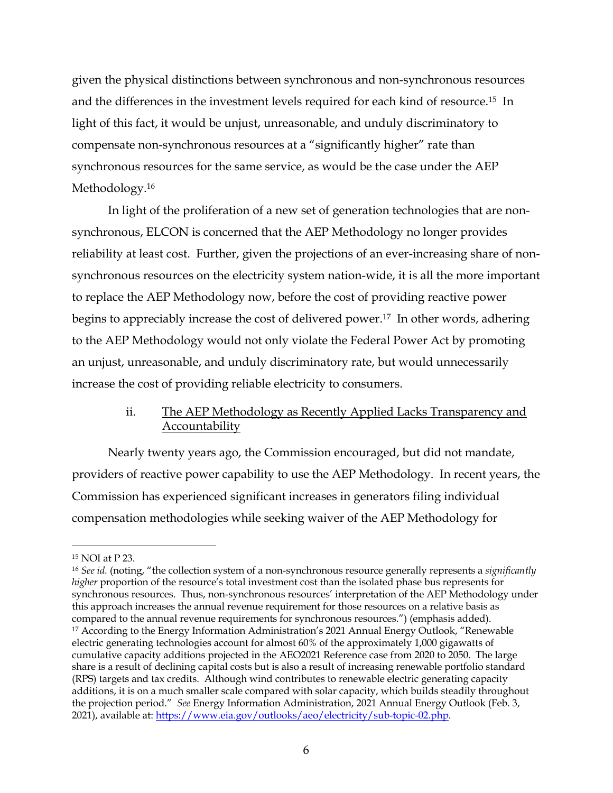given the physical distinctions between synchronous and non-synchronous resources and the differences in the investment levels required for each kind of resource.15 In light of this fact, it would be unjust, unreasonable, and unduly discriminatory to compensate non-synchronous resources at a "significantly higher" rate than synchronous resources for the same service, as would be the case under the AEP Methodology. 16

In light of the proliferation of a new set of generation technologies that are nonsynchronous, ELCON is concerned that the AEP Methodology no longer provides reliability at least cost. Further, given the projections of an ever-increasing share of nonsynchronous resources on the electricity system nation-wide, it is all the more important to replace the AEP Methodology now, before the cost of providing reactive power begins to appreciably increase the cost of delivered power. 17 In other words, adhering to the AEP Methodology would not only violate the Federal Power Act by promoting an unjust, unreasonable, and unduly discriminatory rate, but would unnecessarily increase the cost of providing reliable electricity to consumers.

# ii. The AEP Methodology as Recently Applied Lacks Transparency and Accountability

Nearly twenty years ago, the Commission encouraged, but did not mandate, providers of reactive power capability to use the AEP Methodology. In recent years, the Commission has experienced significant increases in generators filing individual compensation methodologies while seeking waiver of the AEP Methodology for

<sup>15</sup> NOI at P 23.

<sup>16</sup> *See id.* (noting, "the collection system of a non-synchronous resource generally represents a *significantly higher* proportion of the resource's total investment cost than the isolated phase bus represents for synchronous resources. Thus, non-synchronous resources' interpretation of the AEP Methodology under this approach increases the annual revenue requirement for those resources on a relative basis as compared to the annual revenue requirements for synchronous resources.") (emphasis added). <sup>17</sup> According to the Energy Information Administration's 2021 Annual Energy Outlook, "Renewable electric generating technologies account for almost 60% of the approximately 1,000 gigawatts of cumulative capacity additions projected in the AEO2021 Reference case from 2020 to 2050. The large share is a result of declining capital costs but is also a result of increasing renewable portfolio standard (RPS) targets and tax credits. Although wind contributes to renewable electric generating capacity additions, it is on a much smaller scale compared with solar capacity, which builds steadily throughout the projection period." *See* Energy Information Administration, 2021 Annual Energy Outlook (Feb. 3, 2021), available at: https://www.eia.gov/outlooks/aeo/electricity/sub-topic-02.php.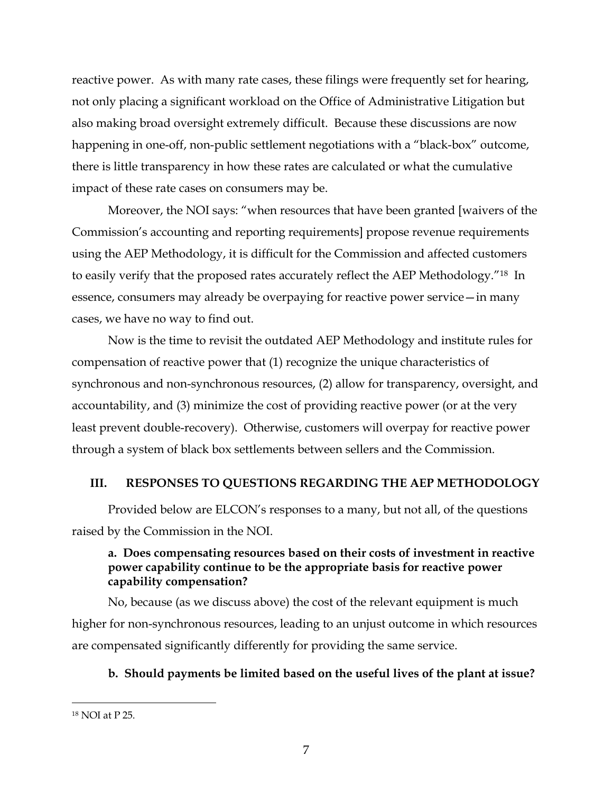reactive power. As with many rate cases, these filings were frequently set for hearing, not only placing a significant workload on the Office of Administrative Litigation but also making broad oversight extremely difficult. Because these discussions are now happening in one-off, non-public settlement negotiations with a "black-box" outcome, there is little transparency in how these rates are calculated or what the cumulative impact of these rate cases on consumers may be.

Moreover, the NOI says: "when resources that have been granted [waivers of the Commission's accounting and reporting requirements] propose revenue requirements using the AEP Methodology, it is difficult for the Commission and affected customers to easily verify that the proposed rates accurately reflect the AEP Methodology."18 In essence, consumers may already be overpaying for reactive power service—in many cases, we have no way to find out.

Now is the time to revisit the outdated AEP Methodology and institute rules for compensation of reactive power that (1) recognize the unique characteristics of synchronous and non-synchronous resources, (2) allow for transparency, oversight, and accountability, and (3) minimize the cost of providing reactive power (or at the very least prevent double-recovery). Otherwise, customers will overpay for reactive power through a system of black box settlements between sellers and the Commission.

#### **III. RESPONSES TO QUESTIONS REGARDING THE AEP METHODOLOGY**

Provided below are ELCON's responses to a many, but not all, of the questions raised by the Commission in the NOI.

# **a. Does compensating resources based on their costs of investment in reactive power capability continue to be the appropriate basis for reactive power capability compensation?**

No, because (as we discuss above) the cost of the relevant equipment is much higher for non-synchronous resources, leading to an unjust outcome in which resources are compensated significantly differently for providing the same service.

## **b. Should payments be limited based on the useful lives of the plant at issue?**

<sup>18</sup> NOI at P 25.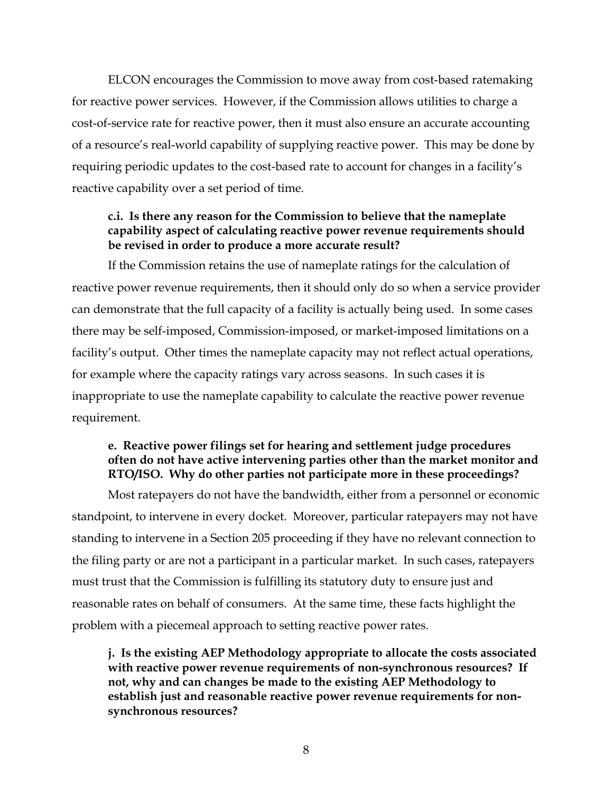ELCON encourages the Commission to move away from cost-based ratemaking for reactive power services. However, if the Commission allows utilities to charge a cost-of-service rate for reactive power, then it must also ensure an accurate accounting of a resource's real-world capability of supplying reactive power. This may be done by requiring periodic updates to the cost-based rate to account for changes in a facility's reactive capability over a set period of time.

# **c.i. Is there any reason for the Commission to believe that the nameplate capability aspect of calculating reactive power revenue requirements should be revised in order to produce a more accurate result?**

If the Commission retains the use of nameplate ratings for the calculation of reactive power revenue requirements, then it should only do so when a service provider can demonstrate that the full capacity of a facility is actually being used. In some cases there may be self-imposed, Commission-imposed, or market-imposed limitations on a facility's output. Other times the nameplate capacity may not reflect actual operations, for example where the capacity ratings vary across seasons. In such cases it is inappropriate to use the nameplate capability to calculate the reactive power revenue requirement.

# **e. Reactive power filings set for hearing and settlement judge procedures often do not have active intervening parties other than the market monitor and RTO/ISO. Why do other parties not participate more in these proceedings?**

Most ratepayers do not have the bandwidth, either from a personnel or economic standpoint, to intervene in every docket. Moreover, particular ratepayers may not have standing to intervene in a Section 205 proceeding if they have no relevant connection to the filing party or are not a participant in a particular market. In such cases, ratepayers must trust that the Commission is fulfilling its statutory duty to ensure just and reasonable rates on behalf of consumers. At the same time, these facts highlight the problem with a piecemeal approach to setting reactive power rates.

**j. Is the existing AEP Methodology appropriate to allocate the costs associated with reactive power revenue requirements of non-synchronous resources? If not, why and can changes be made to the existing AEP Methodology to establish just and reasonable reactive power revenue requirements for nonsynchronous resources?**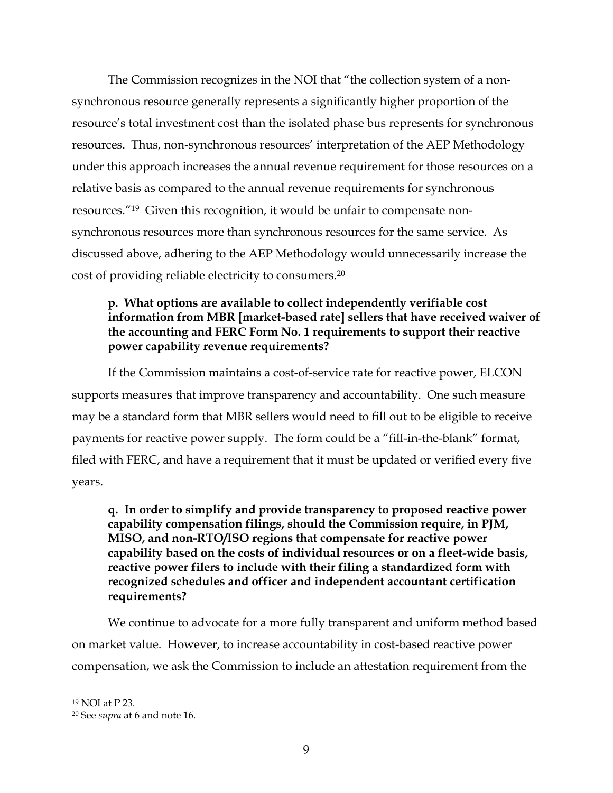The Commission recognizes in the NOI that "the collection system of a nonsynchronous resource generally represents a significantly higher proportion of the resource's total investment cost than the isolated phase bus represents for synchronous resources. Thus, non-synchronous resources' interpretation of the AEP Methodology under this approach increases the annual revenue requirement for those resources on a relative basis as compared to the annual revenue requirements for synchronous resources."19 Given this recognition, it would be unfair to compensate nonsynchronous resources more than synchronous resources for the same service. As discussed above, adhering to the AEP Methodology would unnecessarily increase the cost of providing reliable electricity to consumers.20

# **p. What options are available to collect independently verifiable cost information from MBR [market-based rate] sellers that have received waiver of the accounting and FERC Form No. 1 requirements to support their reactive power capability revenue requirements?**

If the Commission maintains a cost-of-service rate for reactive power, ELCON supports measures that improve transparency and accountability. One such measure may be a standard form that MBR sellers would need to fill out to be eligible to receive payments for reactive power supply. The form could be a "fill-in-the-blank" format, filed with FERC, and have a requirement that it must be updated or verified every five years.

**q. In order to simplify and provide transparency to proposed reactive power capability compensation filings, should the Commission require, in PJM, MISO, and non-RTO/ISO regions that compensate for reactive power capability based on the costs of individual resources or on a fleet-wide basis, reactive power filers to include with their filing a standardized form with recognized schedules and officer and independent accountant certification requirements?**

We continue to advocate for a more fully transparent and uniform method based on market value. However, to increase accountability in cost-based reactive power compensation, we ask the Commission to include an attestation requirement from the

<sup>19</sup> NOI at P 23.

<sup>20</sup> See *supra* at 6 and note 16.